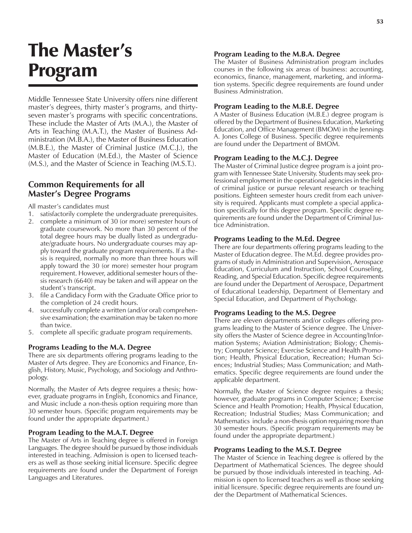# The Master's Program

Middle Tennessee State University offers nine different master's degrees, thirty master's programs, and thirtyseven master's programs with specific concentrations. These include the Master of Arts (M.A.), the Master of Arts in Teaching (M.A.T.), the Master of Business Administration (M.B.A.), the Master of Business Education (M.B.E.), the Master of Criminal Justice (M.C.J.), the Master of Education (M.Ed.), the Master of Science (M.S.), and the Master of Science in Teaching (M.S.T.).

### **Common Requirements for all Master's Degree Programs**

All master's candidates must

- 1. satisfactorily complete the undergraduate prerequisites.
- 2. complete a minimum of 30 (or more) semester hours of graduate coursework. No more than 30 percent of the total degree hours may be dually listed as undergraduate/graduate hours. No undergraduate courses may apply toward the graduate program requirements. If a thesis is required, normally no more than three hours will apply toward the 30 (or more) semester hour program requirement. However, additional semester hours of thesis research (6640) may be taken and will appear on the student's transcript.
- 3. file a Candidacy Form with the Graduate Office prior to the completion of 24 credit hours.
- 4. successfully complete a written (and/or oral) comprehensive examination; the examination may be taken no more than twice.
- 5. complete all specific graduate program requirements.

#### **Programs Leading to the M.A. Degree**

There are six departments offering programs leading to the Master of Arts degree. They are Economics and Finance, English, History, Music, Psychology, and Sociology and Anthropology.

Normally, the Master of Arts degree requires a thesis; however, graduate programs in English, Economics and Finance, and Music include a non-thesis option requiring more than 30 semester hours. (Specific program requirements may be found under the appropriate department.)

#### **Program Leading to the M.A.T. Degree**

The Master of Arts in Teaching degree is offered in Foreign Languages. The degree should be pursued by those individuals interested in teaching. Admission is open to licensed teachers as well as those seeking initial licensure. Specific degree requirements are found under the Department of Foreign Languages and Literatures.

#### **Program Leading to the M.B.A. Degree**

The Master of Business Administration program includes courses in the following six areas of business: accounting, economics, finance, management, marketing, and information systems. Specific degree requirements are found under Business Administration.

#### **Program Leading to the M.B.E. Degree**

A Master of Business Education (M.B.E.) degree program is offered by the Department of Business Education, Marketing Education, and Office Management (BMOM) in the Jennings A. Jones College of Business. Specific degree requirements are found under the Department of BMOM.

#### **Program Leading to the M.C.J. Degree**

The Master of Criminal Justice degree program is a joint program with Tennessee State University. Students may seek professional employment in the operational agencies in the field of criminal justice or pursue relevant research or teaching positions. Eighteen semester hours credit from each university is required. Applicants must complete a special application specifically for this degree program. Specific degree requirements are found under the Department of Criminal Justice Administration.

#### **Programs Leading to the M.Ed. Degree**

There are four departments offering programs leading to the Master of Education degree. The M.Ed. degree provides programs of study in Administration and Supervision, Aerospace Education, Curriculum and Instruction, School Counseling, Reading, and Special Education. Specific degree requirements are found under the Department of Aerospace, Department of Educational Leadership, Department of Elementary and Special Education, and Department of Psychology.

#### **Programs Leading to the M.S. Degree**

There are eleven departments and/or colleges offering programs leading to the Master of Science degree. The University offers the Master of Science degree in Accounting/Information Systems; Aviation Administration; Biology; Chemistry; Computer Science; Exercise Science and Health Promotion; Health, Physical Education, Recreation; Human Sciences; Industrial Studies; Mass Communication; and Mathematics. Specific degree requirements are found under the applicable department.

Normally, the Master of Science degree requires a thesis; however, graduate programs in Computer Science; Exercise Science and Health Promotion; Health, Physical Education, Recreation; Industrial Studies; Mass Communication; and Mathematics include a non-thesis option requiring more than 30 semester hours. (Specific program requirements may be found under the appropriate department.)

#### **Programs Leading to the M.S.T. Degree**

The Master of Science in Teaching degree is offered by the Department of Mathematical Sciences. The degree should be pursued by those individuals interested in teaching. Admission is open to licensed teachers as well as those seeking initial licensure. Specific degree requirements are found under the Department of Mathematical Sciences.